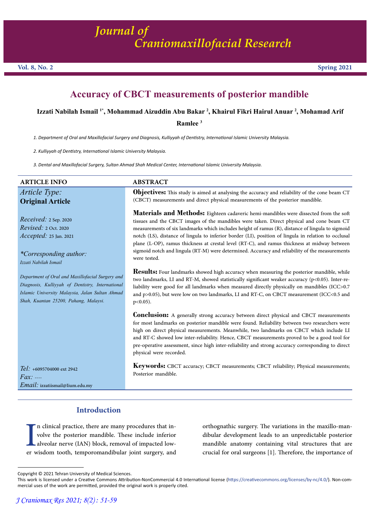# **Accuracy of CBCT measurements of posterior mandible**

#### **Izzati Nabilah Ismail 1\*, Mohammad Aizuddin Abu Bakar 2 , Khairul Fikri Hairul Anuar 2 , Mohamad Arif**

**Ramlee 3**

*1. Department of Oral and Maxillofacial Surgery and Diagnosis, Kulliyyah of Dentistry, International Islamic University Malaysia.*

*2. Kulliyyah of Dentistry, International Islamic University Malaysia.*

*3. Dental and Maxillofacial Surgery, Sultan Ahmad Shah Medical Center, International Islamic University Malaysia.*

| <b>ARTICLE INFO</b>                                                                                                                                                                              | <b>ABSTRACT</b>                                                                                                                                                                                                                                                                                                                                                                                                                                                                                                                                                                                                  |
|--------------------------------------------------------------------------------------------------------------------------------------------------------------------------------------------------|------------------------------------------------------------------------------------------------------------------------------------------------------------------------------------------------------------------------------------------------------------------------------------------------------------------------------------------------------------------------------------------------------------------------------------------------------------------------------------------------------------------------------------------------------------------------------------------------------------------|
| Article Type:<br><b>Original Article</b>                                                                                                                                                         | <b>Objectives:</b> This study is aimed at analysing the accuracy and reliability of the cone beam CT<br>(CBCT) measurements and direct physical measurements of the posterior mandible.                                                                                                                                                                                                                                                                                                                                                                                                                          |
| <i>Received:</i> $2$ Sep. 2020<br><i>Revised: 2 Oct. 2020</i><br><i>Accepted:</i> 25 Jan. 2021<br><i>*Corresponding author:</i><br>Izzati Nabilah Ismail                                         | Materials and Methods: Eighteen cadaveric hemi-mandibles were dissected from the soft<br>tissues and the CBCT images of the mandibles were taken. Direct physical and cone beam CT<br>measurements of six landmarks which includes height of ramus (R), distance of lingula to sigmoid<br>notch (LS), distance of lingula to inferior border (LI), position of lingula in relation to occlusal<br>plane (L-OP), ramus thickness at crestal level (RT-C), and ramus thickness at midway between<br>sigmoid notch and lingula (RT-M) were determined. Accuracy and reliability of the measurements<br>were tested. |
| Department of Oral and Maxillofacial Surgery and<br>Diagnosis, Kulliyyah of Dentistry, International<br>Islamic University Malaysia, Jalan Sultan Ahmad<br>Shah, Kuantan 25200, Pahang, Malaysi. | <b>Results:</b> Four landmarks showed high accuracy when measuring the posterior mandible, while<br>two landmarks, LI and RT-M, showed statistically significant weaker accuracy (p<0.05). Inter-re-<br>liability were good for all landmarks when measured directly physically on mandibles (ICC>0.7<br>and p>0.05), but were low on two landmarks, LI and RT-C, on CBCT measurement (ICC<0.5 and<br>$p<0.05$ ).                                                                                                                                                                                                |
|                                                                                                                                                                                                  | <b>Conclusion:</b> A generally strong accuracy between direct physical and CBCT measurements<br>for most landmarks on posterior mandible were found. Reliability between two researchers were<br>high on direct physical measurements. Meanwhile, two landmarks on CBCT which include LI<br>and RT-C showed low inter-reliability. Hence, CBCT measurements proved to be a good tool for<br>pre-operative assessment, since high inter-reliability and strong accuracy corresponding to direct<br>physical were recorded.                                                                                        |
| $Tel: +6095704000$ ext 2942<br>$Fax: \dots$                                                                                                                                                      | Keywords: CBCT accuracy; CBCT measurements; CBCT reliability; Physical measurements;<br>Posterior mandible.                                                                                                                                                                                                                                                                                                                                                                                                                                                                                                      |

 **Introduction**

er w n clinical practice, there are many procedures that in- volve the posterior mandible. These include inferior alveolar nerve (IAN) block, removal of impacted low-<br>er wisdom tooth, temporomandibular joint surgery, and

orthognathic surgery. The variations in the maxillo-man- dibular development leads to an unpredictable posterior mandible anatomy containing vital structures that are crucial for oral surgeons [1]. Therefore, the importance of

*Email:* izzatiismail@Iium.edu.my

Copyright © 2021 Tehran University of Medical Sciences.

This work is licensed under a Creative Commons Attribution-NonCommercial 4.0 International license (https://creativecommons.org/licenses/by-nc/4.0/). Non-commercial uses of the work are permitted, provided the original work is properly cited.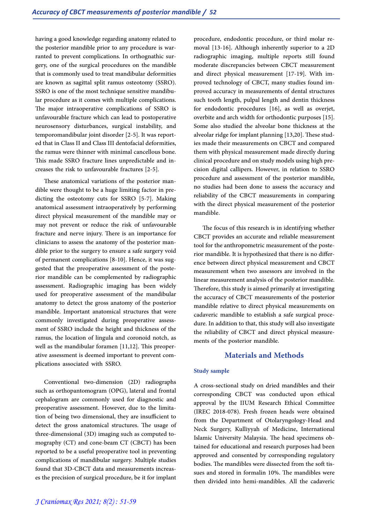having a good knowledge regarding anatomy related to the posterior mandible prior to any procedure is warranted to prevent complications. In orthognathic surgery, one of the surgical procedures on the mandible that is commonly used to treat mandibular deformities are known as sagittal split ramus osteotomy (SSRO). SSRO is one of the most technique sensitive mandibular procedure as it comes with multiple complications. The major intraoperative complications of SSRO is unfavourable fracture which can lead to postoperative neurosensory disturbances, surgical instability, and temporomandibular joint disorder [2-5]. It was reported that in Class II and Class III dentofacial deformities, the ramus were thinner with minimal cancellous bone. This made SSRO fracture lines unpredictable and increases the risk to unfavourable fractures [2-5].

These anatomical variations of the posterior mandible were thought to be a huge limiting factor in predicting the osteotomy cuts for SSRO [5-7]. Making anatomical assessment intraoperatively by performing direct physical measurement of the mandible may or may not prevent or reduce the risk of unfavourable fracture and nerve injury. There is an importance for clinicians to assess the anatomy of the posterior mandible prior to the surgery to ensure a safe surgery void of permanent complications [8-10]. Hence, it was suggested that the preoperative assessment of the posterior mandible can be complemented by radiographic assessment. Radiographic imaging has been widely used for preoperative assessment of the mandibular anatomy to detect the gross anatomy of the posterior mandible. Important anatomical structures that were commonly investigated during preoperative assessment of SSRO include the height and thickness of the ramus, the location of lingula and coronoid notch, as well as the mandibular foramen [11,12]. This preoperative assessment is deemed important to prevent complications associated with SSRO.

Conventional two-dimension (2D) radiographs such as orthopantomogram (OPG), lateral and frontal cephalogram are commonly used for diagnostic and preoperative assessment. However, due to the limitation of being two dimensional, they are insufficient to detect the gross anatomical structures. The usage of three-dimensional (3D) imaging such as computed to- mography (CT) and cone-beam CT (CBCT) has been reported to be a useful preoperative tool in preventing complications of mandibular surgery. Multiple studies found that 3D-CBCT data and measurements increases the precision of surgical procedure, be it for implant

procedure, endodontic procedure, or third molar re- moval [13-16]. Although inherently superior to a 2D radiographic imaging, multiple reports still found moderate discrepancies between CBCT measurement and direct physical measurement [17-19]. With improved technology of CBCT, many studies found im-<br>proved accuracy in measurements of dental structures such tooth length, pulpal length and dentin thickness for endodontic procedures [16], as well as overjet, overbite and arch width for orthodontic purposes [15]. Some also studied the alveolar bone thickness at the alveolar ridge for implant planning [13,20]. These studies made their measurements on CBCT and compared them with physical measurement made directly during<br>clinical procedure and on study models using high precision digital callipers. However, in relation to SSRO procedure and assessment of the posterior mandible, no studies had been done to assess the accuracy and reliability of the CBCT measurements in comparing with the direct physical measurement of the posterior mandible.

The focus of this research is in identifying whether CBCT provides an accurate and reliable measurement tool for the anthropometric measurement of the poste- rior mandible. It is hypothesized that there is no differ- ence between direct physical measurement and CBCT measurement when two assessors are involved in the linear measurement analysis of the posterior mandible. Therefore, this study is aimed primarily at investigating the accuracy of CBCT measurements of the posterior mandible relative to direct physical measurements on cadaveric mandible to establish a safe surgical proce- dure. In addition to that, this study will also investigate the reliability of CBCT and direct physical measure- ments of the posterior mandible.

# **Materials and Methods**

#### **Study sample**

A cross-sectional study on dried mandibles and their corresponding CBCT was conducted upon ethical approval by the IIUM Research Ethical Committee (IREC 2018-078). Fresh frozen heads were obtained from the Department of Otolaryngology-Head and Neck Surgery, Kulliyyah of Medicine, International Islamic University Malaysia. The head specimens ob- tained for educational and research purposes had been approved and consented by corresponding regulatory<br>bodies. The mandibles were dissected from the soft tissues and stored in formalin 10%. The mandibles were then divided into hemi-mandibles. All the cadaveric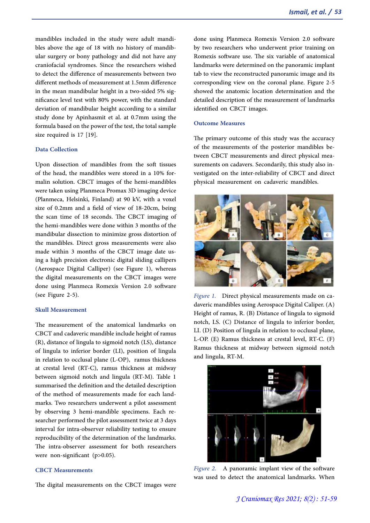mandibles included in the study were adult mandibles above the age of 18 with no history of mandibular surgery or bony pathology and did not have any craniofacial syndromes. Since the researchers wished to detect the difference of measurements between two different methods of measurement at 1.5mm difference in the mean mandibular height in a two-sided 5% significance level test with 80% power, with the standard deviation of mandibular height according to a similar study done by Apinhasmit et al. at 0.7mm using the formula based on the power of the test, the total sample size required is 17 [19].

#### **Data Collection**

Upon dissection of mandibles from the soft tissues of the head, the mandibles were stored in a 10% formalin solution. CBCT images of the hemi-mandibles were taken using Planmeca Promax 3D imaging device (Planmeca, Helsinki, Finland) at 90 kV, with a voxel size of 0.2mm and a field of view of 18-20cm, being the scan time of 18 seconds. The CBCT imaging of the hemi-mandibles were done within 3 months of the mandibular dissection to minimize gross distortion of the mandibles. Direct gross measurements were also made within 3 months of the CBCT image date us- ing a high precision electronic digital sliding callipers (Aerospace Digital Calliper) (see Figure 1), whereas the digital measurements on the CBCT images were done using Planmeca Romexis Version 2.0 software (see Figure 2-5).

#### **Skull Measurement**

The measurement of the anatomical landmarks on CBCT and cadaveric mandible include height of ramus (R), distance of lingula to sigmoid notch (LS), distance of lingula to inferior border (LI), position of lingula in relation to occlusal plane (L-OP), ramus thickness at crestal level (RT-C), ramus thickness at midway between sigmoid notch and lingula (RT-M). Table 1 summarised the definition and the detailed description of the method of measurements made for each landmarks. Two researchers underwent a pilot assessment by observing 3 hemi-mandible specimens. Each researcher performed the pilot assessment twice at 3 days interval for intra-observer reliability testing to ensure reproducibility of the determination of the landmarks. The intra-observer assessment for both researchers were non-significant (p>0.05).

#### **CBCT Measurements**

The digital measurements on the CBCT images were

done using Planmeca Romexis Version 2.0 software by two researchers who underwent prior training on Romexis software use. The six variable of anatomical landmarks were determined on the panoramic implant tab to view the reconstructed panoramic image and its corresponding view on the coronal plane. Figure 2-5 showed the anatomic location determination and the detailed description of the measurement of landmarks identified on CBCT images.

#### **Outcome Measures**

The primary outcome of this study was the accuracy of the measurements of the posterior mandibles between CBCT measurements and direct physical measurements on cadavers. Secondarily, this study also investigated on the inter-reliability of CBCT and direct physical measurement on cadaveric mandibles.



*Figure 1.* Direct physical measurements made on ca-<br>daveric mandibles using Aerospace Digital Caliper. (A) Height of ramus, R. (B) Distance of lingula to sigmoid notch, LS. (C) Distance of lingula to inferior border, LI. (D) Position of lingula in relation to occlusal plane, L-OP. (E) Ramus thickness at crestal level, RT-C. (F) Ramus thickness at midway between sigmoid notch and lingula, RT-M.



*Figure 2.* A panoramic implant view of the software was used to detect the anatomical landmarks. When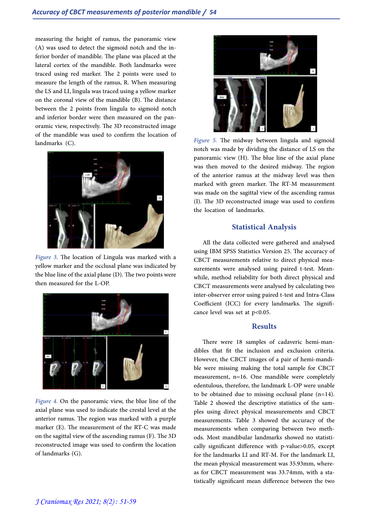measuring the height of ramus, the panoramic view<br>(A) was used to detect the sigmoid notch and the inferior border of mandible. The plane was placed at the lateral cortex of the mandible. Both landmarks were traced using red marker. The 2 points were used to measure the length of the ramus, R. When measuring the LS and LI, lingula was traced using a yellow marker on the coronal view of the mandible (B). The distance between the 2 points from lingula to sigmoid notch and inferior border were then measured on the pan-<br>oramic view, respectively. The 3D reconstructed image of the mandible was used to confirm the location of landmarks (C).



*Figure 3.* The location of Lingula was marked with a yellow marker and the occlusal plane was indicated by the blue line of the axial plane (D). The two points were then measured for the L-OP.



*Figure 4.* On the panoramic view, the blue line of the axial plane was used to indicate the crestal level at the anterior ramus. The region was marked with a purple marker (E). The measurement of the RT-C was made on the sagittal view of the ascending ramus (F). The 3D reconstructed image was used to confirm the location of landmarks (G).



*Figure 5.* The midway between lingula and sigmoid notch was made by dividing the distance of LS on the panoramic view (H). The blue line of the axial plane was then moved to the desired midway. The region of the anterior ramus at the midway level was then marked with green marker. The RT-M measurement was made on the sagittal view of the ascending ramus (I). The 3D reconstructed image was used to confirm the location of landmarks.

# **Statistical Analysis**

All the data collected were gathered and analysed using IBM SPSS Statistics Version 25. The accuracy of CBCT measurements relative to direct physical mea- surements were analysed using paired t-test. Mean- while, method reliability for both direct physical and CBCT measurements were analysed by calculating two inter-observer error using paired t-test and Intra-Class Coefficient (ICC) for every landmarks. The significance level was set at  $p<0.05$ .

## **Results**

There were 18 samples of cadaveric hemi-mandibles that fit the inclusion and exclusion criteria. However, the CBCT images of a pair of hemi-mandible were missing making the total sample for CBCT measurement, n=16. One mandible were completely edentulous, therefore, the landmark L-OP were unable to be obtained due to missing occlusal plane (n=14). Table 2 showed the descriptive statistics of the sam- ples using direct physical measurements and CBCT measurements. Table 3 showed the accuracy of the measurements when comparing between two meth-<br>ods. Most mandibular landmarks showed no statisti-<br>cally significant difference with p-value>0.05, except for the landmarks LI and RT-M. For the landmark LI, the mean physical measurement was 35.93mm, whereas for CBCT measurement was 33.74mm, with a statistically significant mean difference between the two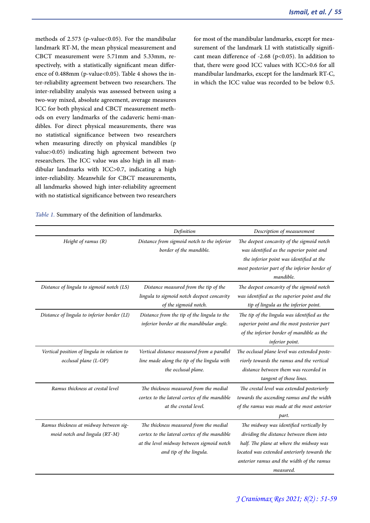methods of 2.573 (p-value<0.05). For the mandibular landmark RT-M, the mean physical measurement and CBCT measurement were 5.71mm and 5.33mm, respectively, with a statistically significant mean difference of 0.488mm (p-value<0.05). Table 4 shows the inter-reliability agreement between two researchers. The inter-reliability analysis was assessed between using a two-way mixed, absolute agreement, average measures ICC for both physical and CBCT measurement methods on every landmarks of the cadaveric hemi-mandibles. For direct physical measurements, there was no statistical significance between two researchers when measuring directly on physical mandibles (p value>0.05) indicating high agreement between two researchers. The ICC value was also high in all mandibular landmarks with ICC>0.7, indicating a high inter-reliability. Meanwhile for CBCT measurements, all landmarks showed high inter-reliability agreement with no statistical significance between two researchers for most of the mandibular landmarks, except for measurement of the landmark LI with statistically significant mean difference of -2.68 (p<0.05). In addition to that, there were good ICC values with ICC>0.6 for all mandibular landmarks, except for the landmark RT-C, in which the ICC value was recorded to be below 0.5.

*Table 1.* Summary of the definition of landmarks.

|                                                                         | Definition                                                                                                                                                     | Description of measurement                                                                                                                                                                                                             |
|-------------------------------------------------------------------------|----------------------------------------------------------------------------------------------------------------------------------------------------------------|----------------------------------------------------------------------------------------------------------------------------------------------------------------------------------------------------------------------------------------|
| Height of ramus (R)                                                     | Distance from sigmoid notch to the inferior<br>border of the mandible.                                                                                         | The deepest concavity of the sigmoid notch<br>was identified as the superior point and<br>the inferior point was identified at the<br>most posterior part of the inferior border of<br>mandible.                                       |
| Distance of lingula to sigmoid notch (LS)                               | Distance measured from the tip of the<br>lingula to sigmoid notch deepest concavity<br>of the sigmoid notch.                                                   | The deepest concavity of the sigmoid notch<br>was identified as the superior point and the<br>tip of lingula as the inferior point.                                                                                                    |
| Distance of lingula to inferior border (LI)                             | Distance from the tip of the lingula to the<br>inferior border at the mandibular angle.                                                                        | The tip of the lingula was identified as the<br>superior point and the most posterior part<br>of the inferior border of mandible as the<br>inferior point.                                                                             |
| Vertical position of lingula in relation to<br>occlusal plane (L-OP)    | Vertical distance measured from a parallel<br>line made along the tip of the lingula with<br>the occlusal plane.                                               | The occlusal plane level was extended poste-<br>riorly towards the ramus and the vertical<br>distance between them was recorded in<br>tangent of those lines.                                                                          |
| Ramus thickness at crestal level                                        | The thickness measured from the medial<br>cortex to the lateral cortex of the mandible<br>at the crestal level.                                                | The crestal level was extended posteriorly<br>towards the ascending ramus and the width<br>of the ramus was made at the most anterior<br>part.                                                                                         |
| Ramus thickness at midway between sig-<br>moid notch and lingula (RT-M) | The thickness measured from the medial<br>cortex to the lateral cortex of the mandible<br>at the level midway between sigmoid notch<br>and tip of the lingula. | The midway was identified vertically by<br>dividing the distance between them into<br>half. The plane at where the midway was<br>located was extended anteriorly towards the<br>anterior ramus and the width of the ramus<br>measured. |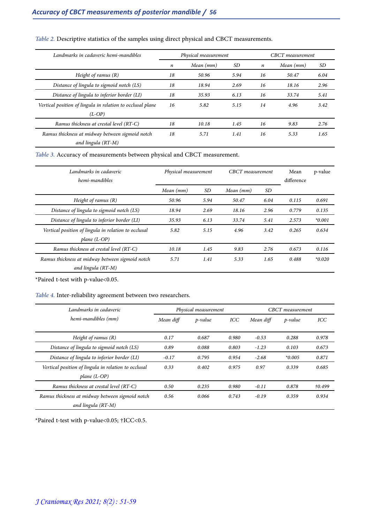| Landmarks in cadaveric hemi-mandibles                                  |    | Physical measurement | CBCT measurement |                  |           |      |
|------------------------------------------------------------------------|----|----------------------|------------------|------------------|-----------|------|
|                                                                        | n  | Mean (mm)            | SD               | $\boldsymbol{n}$ | Mean (mm) | SD   |
| Height of ramus $(R)$                                                  | 18 | 50.96                | 5.94             | 16               | 50.47     | 6.04 |
| Distance of lingula to sigmoid notch (LS)                              | 18 | 18.94                | 2.69             | 16               | 18.16     | 2.96 |
| Distance of lingula to inferior border (LI)                            | 18 | 35.93                | 6.13             | 16               | 33.74     | 5.41 |
| Vertical position of lingula in relation to occlusal plane<br>$(L-OP)$ | 16 | 5.82                 | 5.15             | 14               | 4.96      | 3.42 |
| Ramus thickness at crestal level (RT-C)                                | 18 | 10.18                | 1.45             | 16               | 9.83      | 2.76 |
| Ramus thickness at midway between sigmoid notch<br>and lingula (RT-M)  | 18 | 5.71                 | 1.41             | 16               | 5.33      | 1.65 |

## *Table 2.* Descriptive statistics of the samples using direct physical and CBCT measurements.

*Table 3.* Accuracy of measurements between physical and CBCT measurement.

| Landmarks in cadaveric                               | Physical measurement |      | CBCT measurement |      | Mean       | p-value  |
|------------------------------------------------------|----------------------|------|------------------|------|------------|----------|
| hemi-mandibles                                       |                      |      |                  |      | difference |          |
|                                                      | Mean (mm)            | SD   | Mean (mm)        | SD   |            |          |
| Height of ramus $(R)$                                | 50.96                | 5.94 | 50.47            | 6.04 | 0.115      | 0.691    |
| Distance of lingula to sigmoid notch (LS)            | 18.94                | 2.69 | 18.16            | 2.96 | 0.779      | 0.135    |
| Distance of lingula to inferior border (LI)          | 35.93                | 6.13 | 33.74            | 5.41 | 2.573      | $*0.001$ |
| Vertical position of lingula in relation to occlusal | 5.82                 | 5.15 | 4.96             | 3.42 | 0.265      | 0.634    |
| plane $(L$ -OP)                                      |                      |      |                  |      |            |          |
| Ramus thickness at crestal level (RT-C)              | 10.18                | 1.45 | 9.83             | 2.76 | 0.673      | 0.116    |
| Ramus thickness at midway between sigmoid notch      | 5.71                 | 1.41 | 5.33             | 1.65 | 0.488      | $*0.020$ |
| and lingula (RT-M)                                   |                      |      |                  |      |            |          |

\*Paired t-test with p-value<0.05.

#### *Table 4.* Inter-reliability agreement between two researchers.

| Landmarks in cadaveric                                                | Physical measurement |         |       | <b>CBCT</b> measurement |            |            |  |
|-----------------------------------------------------------------------|----------------------|---------|-------|-------------------------|------------|------------|--|
| hemi-mandibles (mm)                                                   | Mean diff            | p-value | ICC   | Mean diff               | $p$ -value | <b>ICC</b> |  |
| Height of ramus $(R)$                                                 | 0.17                 | 0.687   | 0.980 | $-0.53$                 | 0.288      | 0.978      |  |
| Distance of lingula to sigmoid notch (LS)                             | 0.89                 | 0.088   | 0.803 | $-1.23$                 | 0.103      | 0.673      |  |
| Distance of lingula to inferior border (LI)                           | $-0.17$              | 0.795   | 0.954 | $-2.68$                 | $*0.005$   | 0.871      |  |
| Vertical position of lingula in relation to occlusal                  | 0.33                 | 0.402   | 0.975 | 0.97                    | 0.339      | 0.685      |  |
| plane $(L$ -OP)                                                       |                      |         |       |                         |            |            |  |
| Ramus thickness at crestal level (RT-C)                               | 0.50                 | 0.235   | 0.980 | $-0.11$                 | 0.878      | †0.499     |  |
| Ramus thickness at midway between sigmoid notch<br>and lingula (RT-M) | 0.56                 | 0.066   | 0.743 | $-0.19$                 | 0.359      | 0.934      |  |

 $^{\star}$  Paired t-test with p-value<br><0.05;  $\ensuremath{\dag} \text{ICC}<\!0.5.$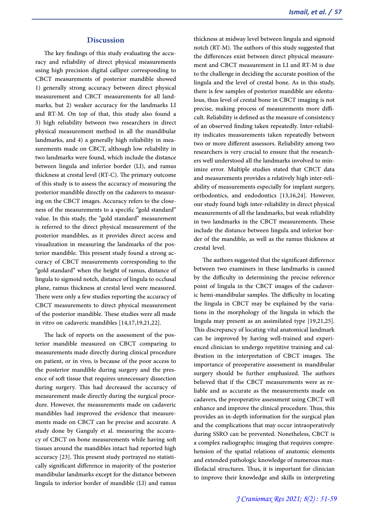#### **Discussion**

The key findings of this study evaluating the accuracy and reliability of direct physical measurements using high precision digital calliper corresponding to CBCT measurements of posterior mandible showed 1) generally strong accuracy between direct physical measurement and CBCT measurements for all landmarks, but 2) weaker accuracy for the landmarks LI and RT-M. On top of that, this study also found a 3) high reliability between two researchers in direct physical measurement method in all the mandibular landmarks, and 4) a generally high reliability in measurements made on CBCT, although low reliability in two landmarks were found, which include the distance between lingula and inferior border (LI), and ramus thickness at crestal level (RT-C). The primary outcome of this study is to assess the accuracy of measuring the posterior mandible directly on the cadavers to measuring on the CBCT images. Accuracy refers to the closeness of the measurements to a specific "gold standard" value. In this study, the "gold standard" measurement is referred to the direct physical measurement of the posterior mandibles, as it provides direct access and visualization in measuring the landmarks of the pos- terior mandible. This present study found a strong ac- curacy of CBCT measurements corresponding to the "gold standard" when the height of ramus, distance of lingula to sigmoid notch, distance of lingula to occlusal plane, ramus thickness at crestal level were measured. There were only a few studies reporting the accuracy of CBCT measurements to direct physical measurement of the posterior mandible. These studies were all made in vitro on cadaveric mandibles [14,17,19,21,22].

The lack of reports on the assessment of the pos- terior mandible measured on CBCT comparing to measurements made directly during clinical procedure on patient, or in vivo, is because of the poor access to the posterior mandible during surgery and the presence of soft tissue that requires unnecessary dissection during surgery. This had decreased the accuracy of measurement made directly during the surgical proce- dure. However, the measurements made on cadaveric mandibles had improved the evidence that measure- ments made on CBCT can be precise and accurate. A study done by Ganguly et al. measuring the accuracy of CBCT on bone measurements while having soft tissues around the mandibles intact had reported high accuracy [23]. This present study portrayed no statisti- cally significant difference in majority of the posterior mandibular landmarks except for the distance between lingula to inferior border of mandible (LI) and ramus

thickness at midway level between lingula and sigmoid notch (RT-M). The authors of this study suggested that the differences exist between direct physical measurement and CBCT measurement in LI and RT-M is due to the challenge in deciding the accurate position of the lingula and the level of crestal bone. As in this study, there is few samples of posterior mandible are edentulous, thus level of crestal bone in CBCT imaging is not precise, making process of measurements more difficult. Reliability is defined as the measure of consistency of an observed finding taken repeatedly. Inter-reliability indicates measurements taken repeatedly between two or more different assessors. Reliability among two researchers is very crucial to ensure that the researchers well understood all the landmarks involved to minimize error. Multiple studies stated that CBCT data and measurements provides a relatively high inter-reliability of measurements especially for implant surgery, orthodontics, and endodontics [13,16,24]. However, our study found high inter-reliability in direct physical measurements of all the landmarks, but weak reliability in two landmarks in the CBCT measurements. These include the distance between lingula and inferior border of the mandible, as well as the ramus thickness at crestal level.

The authors suggested that the significant difference between two examiners in these landmarks is caused by the difficulty in determining the precise reference point of lingula in the CBCT images of the cadaveric hemi-mandibular samples. The difficulty in locating the lingula in CBCT may be explained by the variations in the morphology of the lingula in which the lingula may present as an assimilated type [19,21,25]. This discrepancy of locating vital anatomical landmark can be improved by having well-trained and experienced clinician to undergo repetitive training and calibration in the interpretation of CBCT images. The importance of preoperative assessment in mandibular surgery should be further emphasized. The authors believed that if the CBCT measurements were as reliable and as accurate as the measurements made on cadavers, the preoperative assessment using CBCT will enhance and improve the clinical procedure. Thus, this provides an in-depth information for the surgical plan and the complications that may occur intraoperatively during SSRO can be prevented. Nonetheless, CBCT is a complex radiographic imaging that requires comprehension of the spatial relations of anatomic elements<br>and extended pathologic knowledge of numerous maxillofacial structures. Thus, it is important for clinician to improve their knowledge and skills in interpreting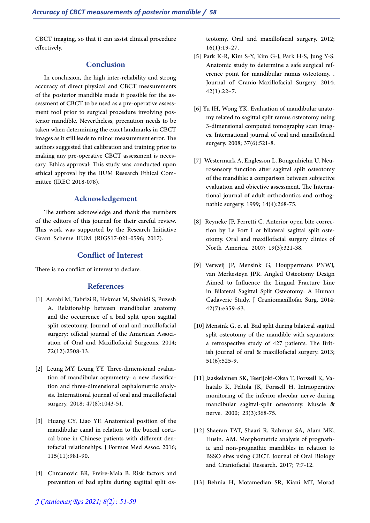CBCT imaging, so that it can assist clinical procedure effectively.

# **Conclusion**

In conclusion, the high inter-reliability and strong accuracy of direct physical and CBCT measurements of the posterior mandible made it possible for the as-<br>sessment of CBCT to be used as a pre-operative assess-<br>ment tool prior to surgical procedure involving pos-<br>terior mandible. Nevertheless, precaution needs to be taken when determining the exact landmarks in CBCT images as it still leads to minor measurement error. The authors suggested that calibration and training prior to making any pre-operative CBCT assessment is neces- sary. Ethics approval: This study was conducted upon ethical approval by the IIUM Research Ethical Com- mittee (IREC 2018-078).

## **Acknowledgement**

The authors acknowledge and thank the members of the editors of this journal for their careful review. This work was supported by the Research Initiative Grant Scheme IIUM (RIGS17-021-0596; 2017).

# **Conflict of Interest**

There is no conflict of interest to declare.

# **References**

- [1] Aarabi M, Tabrizi R, Hekmat M, Shahidi S, Puzesh A. Relationship between mandibular anatomy and the occurrence of a bad split upon sagittal split osteotomy. Journal of oral and maxillofacial surgery: official journal of the American Association of Oral and Maxillofacial Surgeons. 2014; 72(12):2508-13.
- [2] Leung MY, Leung YY. Three-dimensional evaluation of mandibular asymmetry: a new classification and three-dimensional cephalometric analysis. International journal of oral and maxillofacial surgery. 2018; 47(8):1043-51.
- [3] Huang CY, Liao YF. Anatomical position of the mandibular canal in relation to the buccal cortical bone in Chinese patients with different dentofacial relationships. J Formos Med Assoc. 2016; 115(11):981-90.
- [4] Chrcanovic BR, Freire-Maia B. Risk factors and prevention of bad splits during sagittal split os-

teotomy. Oral and maxillofacial surgery. 2012; 16(1):19-27.

- [5] Park K-R, Kim S-Y, Kim G-J, Park H-S, Jung Y-S. Anatomic study to determine a safe surgical reference point for mandibular ramus osteotomy. . Journal of Cranio-Maxillofacial Surgery. 2014; 42(1):22–7.
- [6] Yu IH, Wong YK. Evaluation of mandibular anatomy related to sagittal split ramus osteotomy using 3-dimensional computed tomography scan images. International journal of oral and maxillofacial surgery. 2008; 37(6):521-8.
- [7] Westermark A, Englesson L, Bongenhielm U. Neurosensory function after sagittal split osteotomy of the mandible: a comparison between subjective evaluation and objective assessment. The International journal of adult orthodontics and orthog- nathic surgery. 1999; 14(4):268-75.
- [8] Reyneke JP, Ferretti C. Anterior open bite correc- tion by Le Fort I or bilateral sagittal split oste- otomy. Oral and maxillofacial surgery clinics of North America. 2007; 19(3):321-38.
- [9] Verweij JP, Mensink G, Houppermans PNWJ, van Merkesteyn JPR. Angled Osteotomy Design Aimed to Influence the Lingual Fracture Line in Bilateral Sagittal Split Osteotomy: A Human Cadaveric Study. J Craniomaxillofac Surg. 2014; 42(7):e359-63.
- [10] Mensink G, et al. Bad split during bilateral sagittal split osteotomy of the mandible with separators:<br>a retrospective study of 427 patients. The British journal of oral & maxillofacial surgery. 2013; 51(6):525-9.
- [11] Jaaskelainen SK, Teerijoki-Oksa T, Forssell K, Va- hatalo K, Peltola JK, Forssell H. Intraoperative monitoring of the inferior alveolar nerve during mandibular sagittal-split osteotomy. Muscle & nerve. 2000; 23(3):368-75.
- [12] Shaeran TAT, Shaari R, Rahman SA, Alam MK, Husin. AM. Morphometric analysis of prognathic and non-prognathic mandibles in relation to BSSO sites using CBCT. Journal of Oral Biology and Craniofacial Research. 2017; 7:7-12.
- [13] Behnia H, Motamedian SR, Kiani MT, Morad